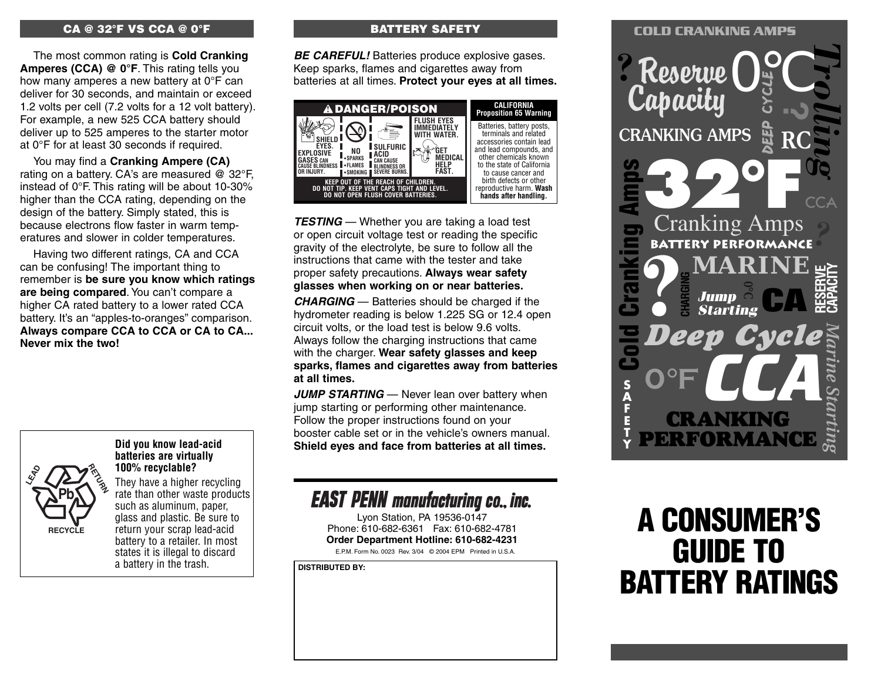#### **CA @ 32°F VS CCA @ 0°F**

The most common rating is **Cold Cranking Amperes (CCA) @ 0°F**. This rating tells you how many amperes a new battery at 0°F can deliver for 30 seconds, and maintain or exceed 1.2 volts per cell (7.2 volts for a 12 volt battery). For example, a new 525 CCA battery should deliver up to 525 amperes to the starter motor at 0°F for at least 30 seconds if required.

You may find a **Cranking Ampere (CA)** rating on a battery. CA's are measured @ 32°F, instead of 0°F. This rating will be about 10-30% higher than the CCA rating, depending on the design of the battery. Simply stated, this is because electrons flow faster in warm temperatures and slower in colder temperatures.

Having two different ratings, CA and CCA can be confusing! The important thing to remember is **be sure you know which ratings are being compared**. You can't compare a higher CA rated battery to a lower rated CCA battery. It's an "apples-to-oranges" comparison. **Always compare CCA to CCA or CA to CA... Never mix the two!**



#### **Did you know lead-acid batteries are virtually 100% recyclable?**

They have a higher recycling rate than other waste products such as aluminum, paper, glass and plastic. Be sure to return your scrap lead-acid battery to a retailer. In most states it is illegal to discard a battery in the trash.

#### **BATTERY SAFETY**

**BE CAREFUL!** Batteries produce explosive gases. Keep sparks, flames and cigarettes away from batteries at all times. **Protect your eyes at all times.**



**TESTING** — Whether you are taking a load test or open circuit voltage test or reading the specific gravity of the electrolyte, be sure to follow all the instructions that came with the tester and take proper safety precautions. **Always wear safety glasses when working on or near batteries.**

**CHARGING** — Batteries should be charged if the hydrometer reading is below 1.225 SG or 12.4 open circuit volts, or the load test is below 9.6 volts. Always follow the charging instructions that came with the charger. **Wear safety glasses and keep sparks, flames and cigarettes away from batteries at all times.**

**JUMP STARTING** — Never lean over battery when jump starting or performing other maintenance. Follow the proper instructions found on your booster cable set or in the vehicle's owners manual. **Shield eyes and face from batteries at all times.**

## **EAST PENN manufacturing co., inc.**

E.P.M. Form No. 0023 Rev. 3/04 © 2004 EPM Printed in U.S.A. Lyon Station, PA 19536-0147 Phone: 610-682-6361 Fax: 610-682-4781 **Order Department Hotline: 610-682-4231**

**DISTRIBUTED BY:**

### **COLD CRANKING AMPS ?**Reserve **Capacity** *Trolling* 0°C **DEEP CYCLE ?** CRANKING AMPS **32°F COLORES AMPS**<br>
Cranking Amps<br> **COLD COLORES AND COLORES STATES COLORES**<br> **BATTERY PERFORMANCE**<br> **BATTERY PERFORMANCE**<br> **BATTERY PERFORMANCE**<br> **BATTERY PERFORMANCE** *?* **? RESERVE CARINE**<br> **CAPACITY**<br> *Starting*<br>
Example 2014<br>
Example 2014<br>
Example 2014 **0°C CA** *Deep Cycle* **0°F** *Marine Starting* **S A F E T Y** *CCA* CRANKING RFORMAN **CHARGING**

# **A CONSUMER'S GUIDE TO BATTERY RATINGS**